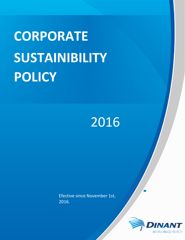# **CORPORATE SUSTAINIBILITY POLICY**

# 2016

Efective since November 1st, 2016.

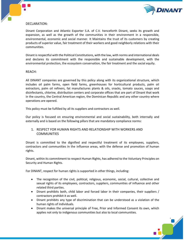

### DECLARATION:

Dinant Corporation and Atlantic Exporter S.A. of C.V. henceforth Dinant, seeks its growth and expansion, as well as the growth of the communities in their environment in a responsible, environmental, economic and social manner. It Maintains the trust of its customers by creating products of superior value, fair treatment of their workers and good neighborly relations with their communities.

Dinant is respectful with the Political Constitutions, with the law, with norms and international deals and declares its commitment with the responsible and sustainable development, with the environmental protection, the ecosystem conservation, the fair treatment and the social equity.

#### REACH:

All DINANT companies are governed by this policy along with its organizational structure, which includes oil palm farms, open field farms, greenhouses for horticultural products, palm oil extractors, palm oil refiners, fat manufactures plants & oils, snacks, tomato sauces, soaps and disinfectants, chlorine, distribution centers and corporate offices that are part of Dinant that work in the country, the Central American region, the Dominican Republic and any other country where operations are opened.

This policy must be fulfilled by all its suppliers and contractors as well.

Our policy is focused on ensuring environmental and social sustainability, both internally and externally and is based on the following pillars that are mandatory compliance norms:

# 1. RESPECT FOR HUMAN RIGHTS AND RELATIONSHIP WITH WORKERS AND **COMMUNITIES**

Dinant is committed to the dignified and respectful treatment of its employees, suppliers, contractors and communities in the influence areas, with the defense and promotion of human rights.

Dinant, within its commitment to respect Human Rights, has adhered to the Voluntary Principles on Security and Human Rights.

For DINANT, respect for human rights is supported in other things, including:

- The recognition of the civil, political, religious, economic, social, cultural, collective and sexual rights of its employees, contractors, suppliers, communities of influence and other related third parties.
- Dinant prohibits both, child labor and forced labor in their companies, their suppliers / contractors prohibit it as well.
- Dinant prohibits any type of discrimination that can be understood as a violation of the human rights of individuals.
- Dinant makes the universal principle of Free, Prior and Informed Consent its own, which applies not only to indigenous communities but also to local communities.

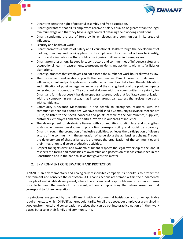



- Dinant respects the right of peaceful assembly and free association.
- Dinant guarantees that all its employees receive a salary equal to or greater than the legal minimum wage and that they have a legal contract detailing their working conditions.
- Dinant condemns the use of force by its employees and communities in its areas of influence.
- Security and health at work
- Dinant promotes a culture of Safety and Occupational Health through the development of molding, coaching and training plans for its employees. It carries out actions to identify, control and eliminate risks that could cause injuries or illnesses in its employees.
- Dinant promotes among its suppliers, contractors and communities of influence, safety and occupational health measurements to prevent incidents and accidents within its facilities or plantations.
- Dinant guarantees that employees do not exceed the number of work hours allowed by law.
- The Involvement and relationship with the communities. Dinant promotes in its area of influence, a joint and participatory work with the communities that allows the identification and mitigation of possible negative impacts and the strengthening of the positive impacts generated by its operations. The constant dialogue with the communities is a priority for Dinant and for this purpose it has developed transparent tools that facilitate communication with the company, in such a way that interest groups can express themselves freely and with confidence.
- Community Grievance Mechanism: In the search to strengthen relations with the communities near our operations, we have established a Community Grievance Mechanism (CGM) to listen to the needs, concerns and points of view of the communities, suppliers, customers, employees and other parties involved in our areas of influence.
- The development of strategic alliances with communities to stimulate and strengthen sustainable human development, promoting co-responsibility and social transparency. Dinant, through the promotion of inclusive activities, achieves the participation of diverse actors of the community in the generation of value along the agribusiness chains. Through the development of these alliances it promotes the organization of the communities and their integration to diverse productive activities.
- Respect for rights over land ownership: Dinant respects the legal ownership of the land. It respects the forms and modalities of ownership and possession of lands established in the Constitution and in the national laws that govern this matter.

# 2. ENVIRONMENT CONSERVATION AND PROTECTION

DINANT is an environmentally and ecologically responsible company. Its priority is to protect the environment and conserve the ecosystem. All Dinant's actions are framed within the fundamental principle of sustainable development, where the efficient and responsible use of resources makes possible to meet the needs of the present, without compromising the natural resources that correspond to future generations.

Its principles are guided by the fulfillment with environmental legislation and other applicable requirements, to which DINANT adheres voluntarily. For all the above, our employees are trained in good environmental and conservation practices that can be put into practice not only in their work places but also in their family and community life.

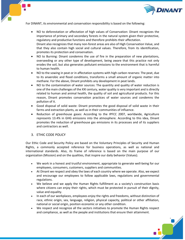

For DINANT, its environmental and conservation responsibility is based on the following:

- NO to deforestation or affectation of high values of Conservation: Dinant recognizes the importance of primary and secondary forests in the natural system given their protective, regulatory and productive functions and therefore prohibits their affectation. Dinant also recognizes that many non-forest areas are also of High Conservation Value, and that they also contain high social and cultural values. Therefore, from its identification, promotes its protection and conservation.
- NO to Burning: Dinant condemns the use of fire in the preparation of new plantations, overseeding or any other type of development, being aware that this practice not only erodes the soil, but also generates pollutant emissions to the environment that is harmful to human health.
- NO to the sowing in peat or in affectation systems with high carbon reserves: The peat, due to its anaerobic and flood conditions, transforms a small amount of organic matter into methane. For the above, Dinant prohibits any development in peat lands.
- NO to the contamination of water sources: The quantity and quality of water reduction is one of the main challenges of the XXI century, water quality is very important and is directly related to human and animal health, the quality of soil and agricultural products. For this reason, Dinant promotes conservation practices of water sources and condemns the pollution of it.
- Good disposal of solid waste: Dinant promotes the good disposal of solid waste in their farms and extraction plants, as well as in their communities of influence.
- Reduction of greenhouse gases: According to the IPFCC 2007, worldwide, Agriculture represents 13.4% in GHG emissions into the atmosphere. According to this idea, Dinant promotes the reduction of greenhouse gas emissions in its processes and of its suppliers and contractors as well.

#### 3. ETHIC CODE POLICY

Our Ethic Code and Security Policy are based on the Voluntary Principles of Security and Human Rights, a commonly accepted reference for business operations, as well as national and international standards. Also, its frame of reference is based on the main purpose of our organization (Mission) and on the qualities, that inspire our daily behavior (Values).

- We work in a honest and trustful environment, appropriate to generate well-being for our employees, consumers, customers, suppliers and communities.
- At Dinant we respect and obey the laws of each country where we operate. Also, we expect and encourage our employees to follow applicable laws, regulations and governmental regulations.
- We believe and we apply the Human Rights fulfillment as a society's construction basis where citizens can enjoy their rights, which must be protected in pursuit of their dignity, value and equality.
- In each of our workplaces, employees enjoy the rights and freedoms, without distinction of race, ethnic origin, sex, language, religion, physical capacity, political or other affiliation, national or social origin, position economic or any other condition.
- We respect and recognize all the sectors initiatives to promote the Human Rights respect and compliance, as well as the people and institutions that ensure their attainment.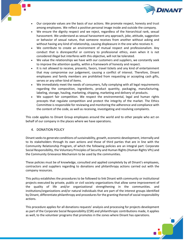

- Our corporate values are the basis of our actions. We promote respect, honesty and trust among employees. We reflect a positive personal image inside and outside the company.
- We ensure the dignity respect and we reject, regardless of the hierarchical rank, sexual harassment. We understand as sexual harassment any approach, joke, attitude, suggestion or behavior of sexual nature, that someone receives from another without asking and without having any kind of relationship, causing displeasure in the one who receives it.
- We contribute to create an environment of mutual respect and professionalism. Any conduct that is disrespectful or contrary to professional ethics, even when it is not considered illegal but interferes with this objective, will not be tolerated.
- We value the relationships we have with our customers and suppliers, we constantly seek to improve the attention quality, within a framework of honesty and respect.
- It is not allowed to receive, presents, favors, travel tickets and any kind of entertainment that may compromise our judgement, causing a conflict of interest. Therefore, Dinant employees and family members are prohibited from requesting or accepting cash gifts, serves or any other kind of items.
- We immediately meet the needs of consumers, fully complying with all legal requirements regarding the composition, ingredients, product quantity, packaging, manufacturing, labeling, storage, hauling, marketing, shipping, marketing and delivery of products.
- We support fair competition. We respect the environmental, legal and human rights precepts that regulate competition and protect the integrity of the market. The Ethics Committee is responsible for reviewing and monitoring the adherence and compliance with the content of the code, as well as receiving, investigating and resolving complaints.

This code applies to Dinant Group employees around the world and to other people who act on behalf of our company in the places where we have operations.

# 4. DONATION POLICY

Dinant seeks to generate conditions of sustainability, growth, economic development, internally and to its stakeholders through its own actions and those of third parties that are in line with the Community Relationship Program, of which the following policies are an integral part: Corporate Social Responsibility, the Voluntary Principles of Security and Human Rights (Human Rights VPs) and the Community Grievance Mechanism to be used by the communities.

These policies must be of knowledge, consulted and applied completely by all Dinant's employees, contractors and suppliers regarding to donations and philanthropy actions carried out with the company resources.

This policy establishes the procedures to be followed to link Dinant with community or institutional projects executed by private, public or civil society organizations that allow some improvement of the quality of life and/or organizational strengthening in the communities. and institutions/organizations and/or natural individuals that are part of the interest groups identified by Dinant, differentiate philanthropy and procedures for the granting thereof of social responsibility actions.

This procedure applies for all donations requests' analysis and processing for projects development as part of the Corporate Social Responsibility (CSR) and philanthropic contributions made, it applies as well, to the volunteer programs that promotes in the zones where Dinant has operations.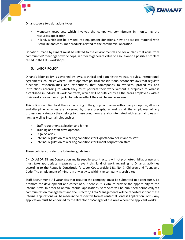

Dinant covers two donations types:

- Monetary resources, which involves the company's commitment in monitoring the resources application.
- In kind, which can be divided into equipment donations, new or obsolete material with useful life and consumer products related to the commercial operation.

Donations made by Dinant must be related to the environmental and social plans that arise from communities' meetings or workshops, in order to generate value or a solution to a possible problem raised in the EIAS workshops.

#### 5. LABOR POLICY

Dinant´s labor policy is governed by laws, technical and administrative nature rules, international agreements, countries where Dinant operates political constitutions, secondary laws that regulate functions, responsibilities and attributions that corresponds to workers, procedures and instructions according to which they must perform their work without a prejudice to what is established in individual work contracts, which will be fulfilled by all the areas employees within their works respective subjects, for whose effect they will be made known.

This policy is applied to all the staff working in the group companies without any exception; all work and discipline activities are governed by these precepts, as well as all the employees of any professional category they belong to, these conditions are also integrated with external rules and laws as well as internal rules such as:

- Staff recruitment, selection and hiring.
- Training and staff development.
- Legal Salaries
- Internal regulation of working conditions for Exportadora del Atlántico staff.
- Internal regulation of working conditions for Dinant corporation staff

These policies consider the following guidelines:

CHILD LABOR. Dinant Corporation and its suppliers/contractors will not promote child labor use, and must take appropriate measures to prevent this kind of work regarding to Dinant's activities according to the Republic Constitution's Labor Code, article 128, No. 7, Children and Teenagers Code. The employment of minors in any activity within the company is prohibited.

Staff Recruitment: All vacancies that occur in the company, must be submitted to a concourse. To promote the development and career of our people, it is vital to provide the opportunity to the internal staff. In order to obtain internal applications, vacancies will be published periodically via communication management and the Director / Area Managements will be reported so that these internal applications will be made in the respective formats (Internal Contest Application Form). Any application must be endorsed by the Director or Manager of the Area where the applicant works.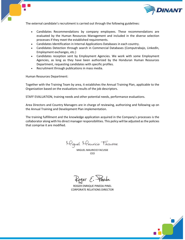



The external candidate's recruitment is carried out through the following guidelines:

- Candidates Recommendations by company employees. These recommendations are evaluated by the Human Resources Management and included in the diverse selection processes if they meet the established requirements.
- Candidates Identification in Internal Applications Databases in each country.
- Candidates Detection through search in Commercial Databases (Computrabajo, Linkedln, Employment exchanges, etc.)
- Candidates reception sent by Employment Agencies. We work with some Employment Agencies, as long as they have been authorized by the Honduran Human Resources Department, requesting candidates with specific profiles.
- Recruitment through publications in mass media.

Human Resources Department:

Together with the Training Team by area, it establishes the Annual Training Plan, applicable to the Organization based on the evaluations results of the job descriptors.

STAFF EVALUATION, training needs and other potential needs, performance evaluations.

Area Directors and Country Managers are in charge of reviewing, authorizing and following up on the Annual Training and Development Plan implementation.

The training fulfillment and the knowledge application acquired in the Company's processes is the collaborator along with his direct manager responsibilities. This policy will be adjusted as the policies that comprise it are modified.

Miguel Mauricio Facusse

MIGUEL MAURICIO FACUSSE **CEO** 

Roger E. Fineda

ROGER ENRIQUE PINEDA PINEL CORPORATE RELATIONS DIRECTOR